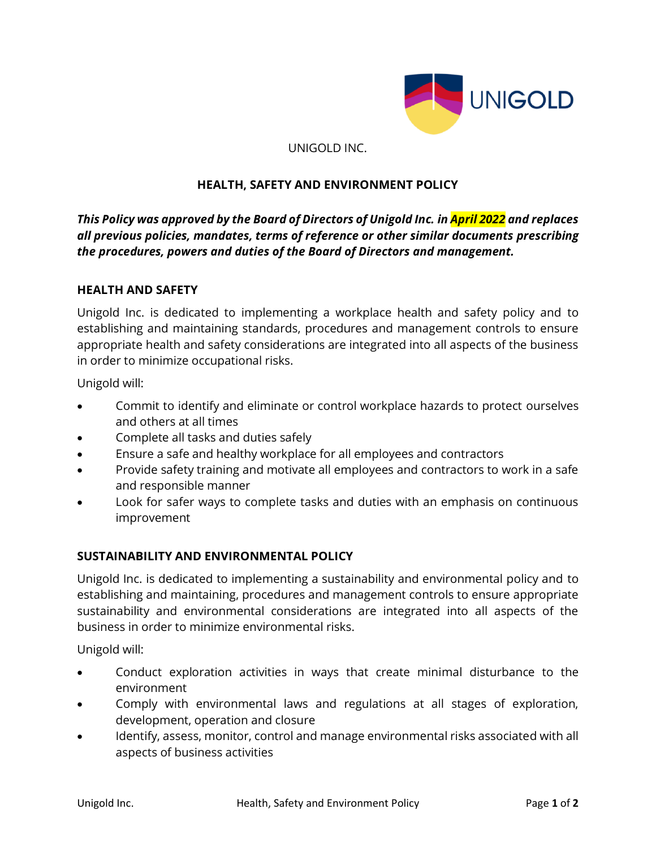

## UNIGOLD INC.

## **HEALTH, SAFETY AND ENVIRONMENT POLICY**

*This Policy was approved by the Board of Directors of Unigold Inc. in April 2022 and replaces all previous policies, mandates, terms of reference or other similar documents prescribing the procedures, powers and duties of the Board of Directors and management.*

## **HEALTH AND SAFETY**

Unigold Inc. is dedicated to implementing a workplace health and safety policy and to establishing and maintaining standards, procedures and management controls to ensure appropriate health and safety considerations are integrated into all aspects of the business in order to minimize occupational risks.

Unigold will:

- Commit to identify and eliminate or control workplace hazards to protect ourselves and others at all times
- Complete all tasks and duties safely
- Ensure a safe and healthy workplace for all employees and contractors
- Provide safety training and motivate all employees and contractors to work in a safe and responsible manner
- Look for safer ways to complete tasks and duties with an emphasis on continuous improvement

## **SUSTAINABILITY AND ENVIRONMENTAL POLICY**

Unigold Inc. is dedicated to implementing a sustainability and environmental policy and to establishing and maintaining, procedures and management controls to ensure appropriate sustainability and environmental considerations are integrated into all aspects of the business in order to minimize environmental risks.

Unigold will:

- Conduct exploration activities in ways that create minimal disturbance to the environment
- Comply with environmental laws and regulations at all stages of exploration, development, operation and closure
- Identify, assess, monitor, control and manage environmental risks associated with all aspects of business activities